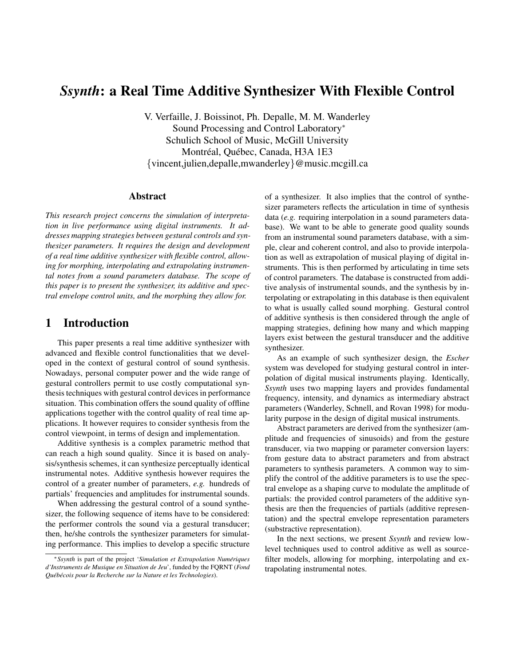# *Ssynth*: a Real Time Additive Synthesizer With Flexible Control

V. Verfaille, J. Boissinot, Ph. Depalle, M. M. Wanderley Sound Processing and Control Laboratory<sup>∗</sup> Schulich School of Music, McGill University Montréal, Québec, Canada, H3A 1E3 {vincent,julien,depalle,mwanderley}@music.mcgill.ca

#### Abstract

*This research project concerns the simulation of interpretation in live performance using digital instruments. It addresses mapping strategies between gestural controls and synthesizer parameters. It requires the design and development of a real time additive synthesizer with flexible control, allowing for morphing, interpolating and extrapolating instrumental notes from a sound parameters database. The scope of this paper is to present the synthesizer, its additive and spectral envelope control units, and the morphing they allow for.*

### 1 Introduction

This paper presents a real time additive synthesizer with advanced and flexible control functionalities that we developed in the context of gestural control of sound synthesis. Nowadays, personal computer power and the wide range of gestural controllers permit to use costly computational synthesis techniques with gestural control devices in performance situation. This combination offers the sound quality of offline applications together with the control quality of real time applications. It however requires to consider synthesis from the control viewpoint, in terms of design and implementation.

Additive synthesis is a complex parametric method that can reach a high sound quality. Since it is based on analysis/synthesis schemes, it can synthesize perceptually identical instrumental notes. Additive synthesis however requires the control of a greater number of parameters, *e.g.* hundreds of partials' frequencies and amplitudes for instrumental sounds.

When addressing the gestural control of a sound synthesizer, the following sequence of items have to be considered: the performer controls the sound via a gestural transducer; then, he/she controls the synthesizer parameters for simulating performance. This implies to develop a specific structure of a synthesizer. It also implies that the control of synthesizer parameters reflects the articulation in time of synthesis data (*e.g.* requiring interpolation in a sound parameters database). We want to be able to generate good quality sounds from an instrumental sound parameters database, with a simple, clear and coherent control, and also to provide interpolation as well as extrapolation of musical playing of digital instruments. This is then performed by articulating in time sets of control parameters. The database is constructed from additive analysis of instrumental sounds, and the synthesis by interpolating or extrapolating in this database is then equivalent to what is usually called sound morphing. Gestural control of additive synthesis is then considered through the angle of mapping strategies, defining how many and which mapping layers exist between the gestural transducer and the additive synthesizer.

As an example of such synthesizer design, the *Escher* system was developed for studying gestural control in interpolation of digital musical instruments playing. Identically, *Ssynth* uses two mapping layers and provides fundamental frequency, intensity, and dynamics as intermediary abstract parameters (Wanderley, Schnell, and Rovan 1998) for modularity purpose in the design of digital musical instruments.

Abstract parameters are derived from the synthesizer (amplitude and frequencies of sinusoids) and from the gesture transducer, via two mapping or parameter conversion layers: from gesture data to abstract parameters and from abstract parameters to synthesis parameters. A common way to simplify the control of the additive parameters is to use the spectral envelope as a shaping curve to modulate the amplitude of partials: the provided control parameters of the additive synthesis are then the frequencies of partials (additive representation) and the spectral envelope representation parameters (substractive representation).

In the next sections, we present *Ssynth* and review lowlevel techniques used to control additive as well as sourcefilter models, allowing for morphing, interpolating and extrapolating instrumental notes.

<sup>∗</sup>*Ssynth* is part of the project '*Simulation et Extrapolation Numeriques ´ d'Instruments de Musique en Situation de Jeu*', funded by the FQRNT (*Fond Queb´ ecois pour la Recherche sur la Nature et les Technologies ´* ).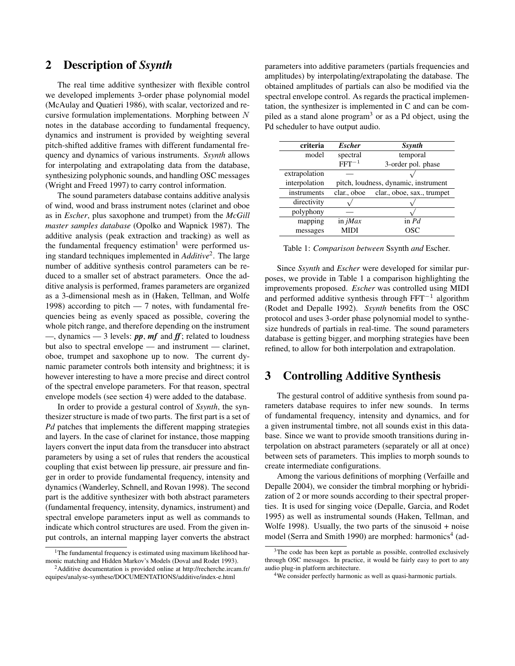### 2 Description of *Ssynth*

The real time additive synthesizer with flexible control we developed implements 3-order phase polynomial model (McAulay and Quatieri 1986), with scalar, vectorized and recursive formulation implementations. Morphing between N notes in the database according to fundamental frequency, dynamics and instrument is provided by weighting several pitch-shifted additive frames with different fundamental frequency and dynamics of various instruments. *Ssynth* allows for interpolating and extrapolating data from the database, synthesizing polyphonic sounds, and handling OSC messages (Wright and Freed 1997) to carry control information.

The sound parameters database contains additive analysis of wind, wood and brass instrument notes (clarinet and oboe as in *Escher*, plus saxophone and trumpet) from the *McGill master samples database* (Opolko and Wapnick 1987). The additive analysis (peak extraction and tracking) as well as the fundamental frequency estimation<sup>1</sup> were performed using standard techniques implemented in *Additive*<sup>2</sup> . The large number of additive synthesis control parameters can be reduced to a smaller set of abstract parameters. Once the additive analysis is performed, frames parameters are organized as a 3-dimensional mesh as in (Haken, Tellman, and Wolfe 1998) according to pitch  $-7$  notes, with fundamental frequencies being as evenly spaced as possible, covering the whole pitch range, and therefore depending on the instrument —, dynamics — 3 levels: *pp*, *mf* and *ff*; related to loudness but also to spectral envelope — and instrument — clarinet, oboe, trumpet and saxophone up to now. The current dynamic parameter controls both intensity and brightness; it is however interesting to have a more precise and direct control of the spectral envelope parameters. For that reason, spectral envelope models (see section 4) were added to the database.

In order to provide a gestural control of *Ssynth*, the synthesizer structure is made of two parts. The first part is a set of *Pd* patches that implements the different mapping strategies and layers. In the case of clarinet for instance, those mapping layers convert the input data from the transducer into abstract parameters by using a set of rules that renders the acoustical coupling that exist between lip pressure, air pressure and finger in order to provide fundamental frequency, intensity and dynamics (Wanderley, Schnell, and Rovan 1998). The second part is the additive synthesizer with both abstract parameters (fundamental frequency, intensity, dynamics, instrument) and spectral envelope parameters input as well as commands to indicate which control structures are used. From the given input controls, an internal mapping layer converts the abstract parameters into additive parameters (partials frequencies and amplitudes) by interpolating/extrapolating the database. The obtained amplitudes of partials can also be modified via the spectral envelope control. As regards the practical implementation, the synthesizer is implemented in C and can be compiled as a stand alone program<sup>3</sup> or as a Pd object, using the Pd scheduler to have output audio.

| criteria      | <b>Escher</b>                        | Ssynth                     |
|---------------|--------------------------------------|----------------------------|
| model         | spectral                             | temporal                   |
|               | $FFT^{-1}$                           | 3-order pol. phase         |
| extrapolation |                                      |                            |
| interpolation | pitch, loudness, dynamic, instrument |                            |
| instruments   | clar., oboe                          | clar., oboe, sax., trumpet |
| directivity   |                                      |                            |
| polyphony     |                                      |                            |
| mapping       | in $iMax$                            | in $Pd$                    |
| messages      | MIDI                                 |                            |

Table 1: *Comparison between* Ssynth *and* Escher*.*

Since *Ssynth* and *Escher* were developed for similar purposes, we provide in Table 1 a comparison highlighting the improvements proposed. *Escher* was controlled using MIDI and performed additive synthesis through FFT<sup>−</sup><sup>1</sup> algorithm (Rodet and Depalle 1992). *Ssynth* benefits from the OSC protocol and uses 3-order phase polynomial model to synthesize hundreds of partials in real-time. The sound parameters database is getting bigger, and morphing strategies have been refined, to allow for both interpolation and extrapolation.

## 3 Controlling Additive Synthesis

The gestural control of additive synthesis from sound parameters database requires to infer new sounds. In terms of fundamental frequency, intensity and dynamics, and for a given instrumental timbre, not all sounds exist in this database. Since we want to provide smooth transitions during interpolation on abstract parameters (separately or all at once) between sets of parameters. This implies to morph sounds to create intermediate configurations.

Among the various definitions of morphing (Verfaille and Depalle 2004), we consider the timbral morphing or hybridization of 2 or more sounds according to their spectral properties. It is used for singing voice (Depalle, Garcia, and Rodet 1995) as well as instrumental sounds (Haken, Tellman, and Wolfe 1998). Usually, the two parts of the sinusoid + noise model (Serra and Smith 1990) are morphed: harmonics<sup>4</sup> (ad-

<sup>&</sup>lt;sup>1</sup>The fundamental frequency is estimated using maximum likelihood harmonic matching and Hidden Markov's Models (Doval and Rodet 1993).

<sup>&</sup>lt;sup>2</sup>Additive documentation is provided online at http://recherche.ircam.fr/ equipes/analyse-synthese/DOCUMENTATIONS/additive/index-e.html

<sup>&</sup>lt;sup>3</sup>The code has been kept as portable as possible, controlled exclusively through OSC messages. In practice, it would be fairly easy to port to any audio plug-in platform architecture.

<sup>4</sup>We consider perfectly harmonic as well as quasi-harmonic partials.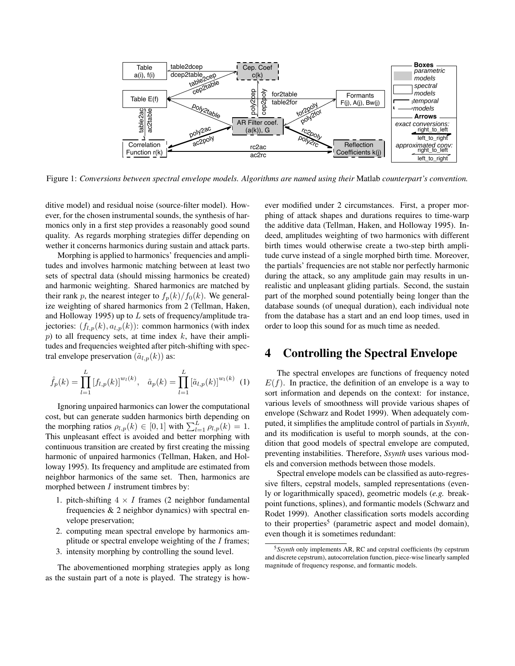

Figure 1: *Conversions between spectral envelope models. Algorithms are named using their* Matlab *counterpart's convention.*

ditive model) and residual noise (source-filter model). However, for the chosen instrumental sounds, the synthesis of harmonics only in a first step provides a reasonably good sound quality. As regards morphing strategies differ depending on wether it concerns harmonics during sustain and attack parts.

Morphing is applied to harmonics' frequencies and amplitudes and involves harmonic matching between at least two sets of spectral data (should missing harmonics be created) and harmonic weighting. Shared harmonics are matched by their rank p, the nearest integer to  $f_p(k)/f_0(k)$ . We generalize weighting of shared harmonics from 2 (Tellman, Haken, and Holloway 1995) up to  $L$  sets of frequency/amplitude trajectories:  $(f_{l,p}(k), a_{l,p}(k))$ : common harmonics (with index  $p$ ) to all frequency sets, at time index  $k$ , have their amplitudes and frequencies weighted after pitch-shifting with spectral envelope preservation  $(\tilde{a}_{l,p}(k))$  as:

$$
\hat{f}_p(k) = \prod_{l=1}^{L} [f_{l,p}(k)]^{w_l(k)}, \quad \hat{a}_p(k) = \prod_{l=1}^{L} [\tilde{a}_{l,p}(k)]^{w_l(k)} \tag{1}
$$

Ignoring unpaired harmonics can lower the computational cost, but can generate sudden harmonics birth depending on the morphing ratios  $\rho_{l,p}(k) \in [0,1]$  with  $\sum_{l=1}^{L} \rho_{l,p}(k) = 1$ . This unpleasant effect is avoided and better morphing with continuous transition are created by first creating the missing harmonic of unpaired harmonics (Tellman, Haken, and Holloway 1995). Its frequency and amplitude are estimated from neighbor harmonics of the same set. Then, harmonics are morphed between  $I$  instrument timbres by:

- 1. pitch-shifting  $4 \times I$  frames (2 neighbor fundamental frequencies & 2 neighbor dynamics) with spectral envelope preservation;
- 2. computing mean spectral envelope by harmonics amplitude or spectral envelope weighting of the  $I$  frames;
- 3. intensity morphing by controlling the sound level.

The abovementioned morphing strategies apply as long as the sustain part of a note is played. The strategy is however modified under 2 circumstances. First, a proper morphing of attack shapes and durations requires to time-warp the additive data (Tellman, Haken, and Holloway 1995). Indeed, amplitudes weighting of two harmonics with different birth times would otherwise create a two-step birth amplitude curve instead of a single morphed birth time. Moreover, the partials' frequencies are not stable nor perfectly harmonic during the attack, so any amplitude gain may results in unrealistic and unpleasant gliding partials. Second, the sustain part of the morphed sound potentially being longer than the database sounds (of unequal duration), each individual note from the database has a start and an end loop times, used in order to loop this sound for as much time as needed.

### 4 Controlling the Spectral Envelope

The spectral envelopes are functions of frequency noted  $E(f)$ . In practice, the definition of an envelope is a way to sort information and depends on the context: for instance, various levels of smoothness will provide various shapes of envelope (Schwarz and Rodet 1999). When adequately computed, it simplifies the amplitude control of partials in *Ssynth*, and its modification is useful to morph sounds, at the condition that good models of spectral envelope are computed, preventing instabilities. Therefore, *Ssynth* uses various models and conversion methods between those models.

Spectral envelope models can be classified as auto-regressive filters, cepstral models, sampled representations (evenly or logarithmically spaced), geometric models (*e.g.* breakpoint functions, splines), and formantic models (Schwarz and Rodet 1999). Another classification sorts models according to their properties<sup>5</sup> (parametric aspect and model domain), even though it is sometimes redundant:

<sup>5</sup>*Ssynth* only implements AR, RC and cepstral coefficients (by cepstrum and discrete cepstrum), autocorrelation function, piece-wise linearly sampled magnitude of frequency response, and formantic models.